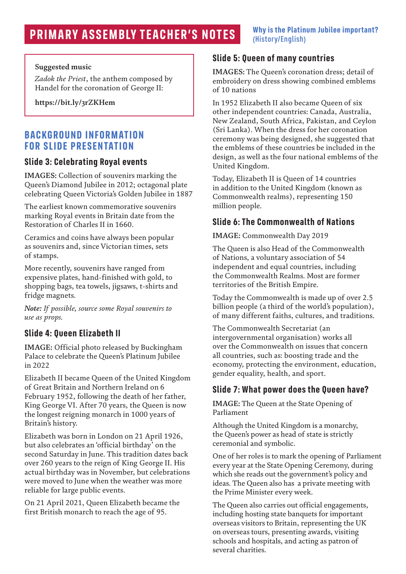# **PRIMARY ASSEMBLY TEACHER'S NOTES** Why is the Platinum Jubilee important?

# (History/English)

#### **Suggested music**

*Zadok the Priest*, the anthem composed by Handel for the coronation of George II:

**https://bit.ly/3rZKHem**

#### **BACKGROUND INFORMATION FOR SLIDE PRESENTATION**

#### **Slide 3: Celebrating Royal events**

**IMAGES:** Collection of souvenirs marking the Queen's Diamond Jubilee in 2012; octagonal plate celebrating Queen Victoria's Golden Jubilee in 1887

The earliest known commemorative souvenirs marking Royal events in Britain date from the Restoration of Charles II in 1660.

Ceramics and coins have always been popular as souvenirs and, since Victorian times, sets of stamps.

More recently, souvenirs have ranged from expensive plates, hand-finished with gold, to shopping bags, tea towels, jigsaws, t-shirts and fridge magnets.

*Note: If possible, source some Royal souvenirs to use as props.*

#### **Slide 4: Queen Elizabeth II**

**IMAGE:** Official photo released by Buckingham Palace to celebrate the Queen's Platinum Jubilee in 2022

Elizabeth II became Queen of the United Kingdom of Great Britain and Northern Ireland on 6 February 1952, following the death of her father, King George VI. After 70 years, the Queen is now the longest reigning monarch in 1000 years of Britain's history.

Elizabeth was born in London on 21 April 1926, but also celebrates an 'official birthday' on the second Saturday in June. This tradition dates back over 260 years to the reign of King George II. His actual birthday was in November, but celebrations were moved to June when the weather was more reliable for large public events.

On 21 April 2021, Queen Elizabeth became the first British monarch to reach the age of 95.

#### **Slide 5: Queen of many countries**

**IMAGES:** The Queen's coronation dress; detail of embroidery on dress showing combined emblems of 10 nations

In 1952 Elizabeth II also became Queen of six other independent countries: Canada, Australia, New Zealand, South Africa, Pakistan, and Ceylon (Sri Lanka). When the dress for her coronation ceremony was being designed, she suggested that the emblems of these countries be included in the design, as well as the four national emblems of the United Kingdom.

Today, Elizabeth II is Queen of 14 countries in addition to the United Kingdom (known as Commonwealth realms), representing 150 million people.

#### **Slide 6: The Commonwealth of Nations**

#### **IMAGE:** Commonwealth Day 2019

The Queen is also Head of the Commonwealth of Nations, a voluntary association of 54 independent and equal countries, including the Commonwealth Realms. Most are former territories of the British Empire.

Today the Commonwealth is made up of over 2.5 billion people (a third of the world's population), of many different faiths, cultures, and traditions.

The Commonwealth Secretariat (an intergovernmental organisation) works all over the Commonwealth on issues that concern all countries, such as: boosting trade and the economy, protecting the environment, education, gender equality, health, and sport.

#### **Slide 7: What power does the Queen have?**

**IMAGE:** The Queen at the State Opening of Parliament

Although the United Kingdom is a monarchy, the Queen's power as head of state is strictly ceremonial and symbolic.

One of her roles is to mark the opening of Parliament every year at the State Opening Ceremony, during which she reads out the government's policy and ideas. The Queen also has a private meeting with the Prime Minister every week.

The Queen also carries out official engagements, including hosting state banquets for important overseas visitors to Britain, representing the UK on overseas tours, presenting awards, visiting schools and hospitals, and acting as patron of several charities.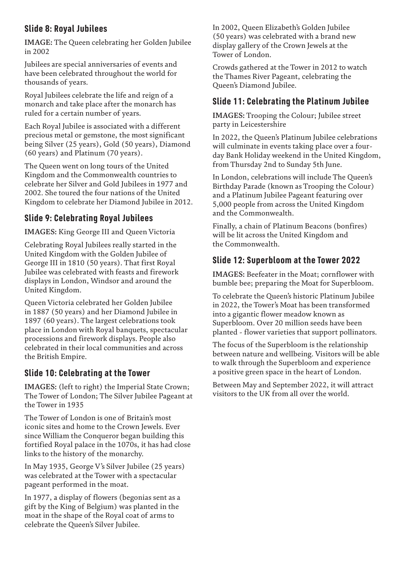#### **Slide 8: Royal Jubilees**

**IMAGE:** The Queen celebrating her Golden Jubilee in 2002

Jubilees are special anniversaries of events and have been celebrated throughout the world for thousands of years.

Royal Jubilees celebrate the life and reign of a monarch and take place after the monarch has ruled for a certain number of years.

Each Royal Jubilee is associated with a different precious metal or gemstone, the most significant being Silver (25 years), Gold (50 years), Diamond (60 years) and Platinum (70 years).

The Queen went on long tours of the United Kingdom and the Commonwealth countries to celebrate her Silver and Gold Jubilees in 1977 and 2002. She toured the four nations of the United Kingdom to celebrate her Diamond Jubilee in 2012.

## **Slide 9: Celebrating Royal Jubilees**

**IMAGES:** King George III and Queen Victoria

Celebrating Royal Jubilees really started in the United Kingdom with the Golden Jubilee of George III in 1810 (50 years). That first Royal Jubilee was celebrated with feasts and firework displays in London, Windsor and around the United Kingdom.

Queen Victoria celebrated her Golden Jubilee in 1887 (50 years) and her Diamond Jubilee in 1897 (60 years). The largest celebrations took place in London with Royal banquets, spectacular processions and firework displays. People also celebrated in their local communities and across the British Empire.

#### **Slide 10: Celebrating at the Tower**

**IMAGES:** (left to right) the Imperial State Crown; The Tower of London; The Silver Jubilee Pageant at the Tower in 1935

The Tower of London is one of Britain's most iconic sites and home to the Crown Jewels. Ever since William the Conqueror began building this fortified Royal palace in the 1070s, it has had close links to the history of the monarchy.

In May 1935, George V's Silver Jubilee (25 years) was celebrated at the Tower with a spectacular pageant performed in the moat.

In 1977, a display of flowers (begonias sent as a gift by the King of Belgium) was planted in the moat in the shape of the Royal coat of arms to celebrate the Queen's Silver Jubilee.

In 2002, Queen Elizabeth's Golden Jubilee (50 years) was celebrated with a brand new display gallery of the Crown Jewels at the Tower of London.

Crowds gathered at the Tower in 2012 to watch the Thames River Pageant, celebrating the Queen's Diamond Jubilee.

#### **Slide 11: Celebrating the Platinum Jubilee**

**IMAGES:** Trooping the Colour; Jubilee street party in Leicestershire

In 2022, the Queen's Platinum Jubilee celebrations will culminate in events taking place over a fourday Bank Holiday weekend in the United Kingdom, from Thursday 2nd to Sunday 5th June.

In London, celebrations will include The Queen's Birthday Parade (known as Trooping the Colour) and a Platinum Jubilee Pageant featuring over 5,000 people from across the United Kingdom and the Commonwealth.

Finally, a chain of Platinum Beacons (bonfires) will be lit across the United Kingdom and the Commonwealth.

#### **Slide 12: Superbloom at the Tower 2022**

**IMAGES:** Beefeater in the Moat; cornflower with bumble bee; preparing the Moat for Superbloom.

To celebrate the Queen's historic Platinum Jubilee in 2022, the Tower's Moat has been transformed into a gigantic flower meadow known as Superbloom. Over 20 million seeds have been planted - flower varieties that support pollinators.

The focus of the Superbloom is the relationship between nature and wellbeing. Visitors will be able to walk through the Superbloom and experience a positive green space in the heart of London.

Between May and September 2022, it will attract visitors to the UK from all over the world.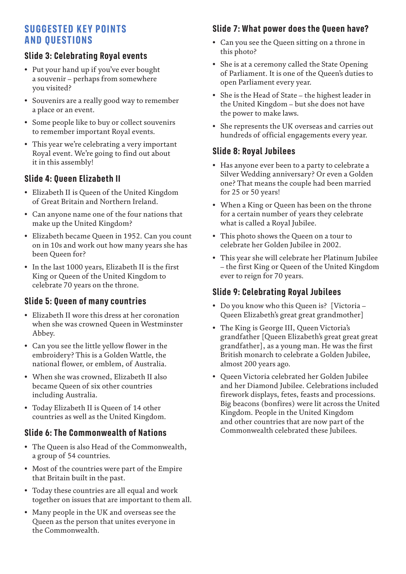## **SUGGESTED KEY POINTS AND QUESTIONS**

#### **Slide 3: Celebrating Royal events**

- Put your hand up if you've ever bought a souvenir – perhaps from somewhere you visited?
- Souvenirs are a really good way to remember a place or an event.
- Some people like to buy or collect souvenirs to remember important Royal events.
- This year we're celebrating a very important Royal event. We're going to find out about it in this assembly!

#### **Slide 4: Queen Elizabeth II**

- Elizabeth II is Queen of the United Kingdom of Great Britain and Northern Ireland.
- Can anyone name one of the four nations that make up the United Kingdom?
- Elizabeth became Queen in 1952. Can you count on in 10s and work out how many years she has been Queen for?
- In the last 1000 years, Elizabeth II is the first King or Queen of the United Kingdom to celebrate 70 years on the throne.

#### **Slide 5: Queen of many countries**

- Elizabeth II wore this dress at her coronation when she was crowned Queen in Westminster Abbey.
- Can you see the little yellow flower in the embroidery? This is a Golden Wattle, the national flower, or emblem, of Australia.
- When she was crowned, Elizabeth II also became Queen of six other countries including Australia.
- Today Elizabeth II is Queen of 14 other countries as well as the United Kingdom.

#### **Slide 6: The Commonwealth of Nations**

- The Queen is also Head of the Commonwealth, a group of 54 countries.
- Most of the countries were part of the Empire that Britain built in the past.
- Today these countries are all equal and work together on issues that are important to them all.
- Many people in the UK and overseas see the Queen as the person that unites everyone in the Commonwealth.

#### **Slide 7: What power does the Queen have?**

- Can you see the Queen sitting on a throne in this photo?
- She is at a ceremony called the State Opening of Parliament. It is one of the Queen's duties to open Parliament every year.
- She is the Head of State the highest leader in the United Kingdom – but she does not have the power to make laws.
- She represents the UK overseas and carries out hundreds of official engagements every year.

#### **Slide 8: Royal Jubilees**

- Has anyone ever been to a party to celebrate a Silver Wedding anniversary? Or even a Golden one? That means the couple had been married for 25 or 50 years!
- When a King or Queen has been on the throne for a certain number of years they celebrate what is called a Royal Jubilee.
- This photo shows the Queen on a tour to celebrate her Golden Jubilee in 2002.
- This year she will celebrate her Platinum Jubilee – the first King or Queen of the United Kingdom ever to reign for 70 years.

#### **Slide 9: Celebrating Royal Jubilees**

- Do you know who this Queen is? [Victoria Queen Elizabeth's great great grandmother]
- The King is George III, Queen Victoria's grandfather [Queen Elizabeth's great great great grandfather], as a young man. He was the first British monarch to celebrate a Golden Jubilee, almost 200 years ago.
- Queen Victoria celebrated her Golden Jubilee and her Diamond Jubilee. Celebrations included firework displays, fetes, feasts and processions. Big beacons (bonfires) were lit across the United Kingdom. People in the United Kingdom and other countries that are now part of the Commonwealth celebrated these Jubilees.